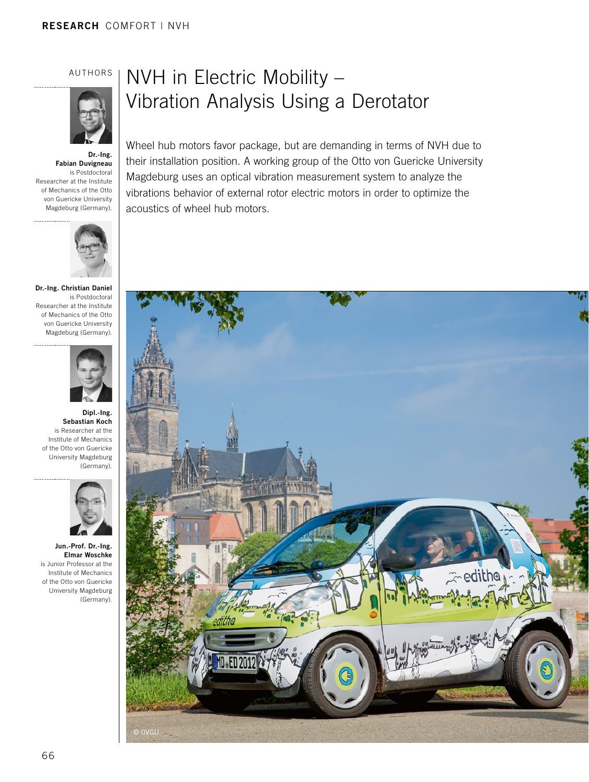#### AUTHORS



Dr.-Ing. Fabian Duvigneau is Postdoctoral Researcher at the Institute of Mechanics of the Otto von Guericke University Magdeburg (Germany).



Dr.-Ing. Christian Daniel is Postdoctoral Researcher at the Institute of Mechanics of the Otto von Guericke University Magdeburg (Germany).



Dipl.-Ing. Sebastian Koch is Researcher at the Institute of Mechanics of the Otto von Guericke University Magdeburg (Germany).

. . . . . . . . . . . . .



Jun.-Prof. Dr.-Ing. Elmar Woschke is Junior Professor at the Institute of Mechanics of the Otto von Guericke University Magdeburg (Germany).

## NVH in Electric Mobility – Vibration Analysis Using a Derotator

Wheel hub motors favor package, but are demanding in terms of NVH due to their installation position. A working group of the Otto von Guericke University Magdeburg uses an optical vibration measurement system to analyze the vibrations behavior of external rotor electric motors in order to optimize the acoustics of wheel hub motors.

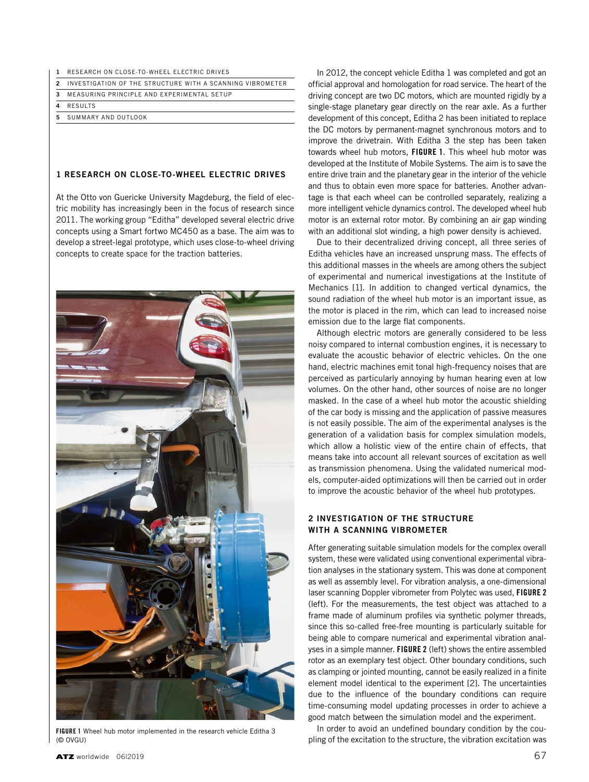- 1 RESEARCH ON CLOSE-TO-WHEEL ELECTRIC DRIVES
- INVESTIGATION OF THE STRUCTURE WITH A SCANNING VIBROMETER
- 3 MEASURING PRINCIPLE AND EXPERIMENTAL SETUP
- 4 RESULTS
- 5 SUMMARY AND OUTLOOK

#### 1 RESEARCH ON CLOSE-TO-WHEEL ELECTRIC DRIVES

At the Otto von Guericke University Magdeburg, the field of electric mobility has increasingly been in the focus of research since 2011. The working group "Editha" developed several electric drive concepts using a Smart fortwo MC450 as a base. The aim was to develop a street-legal prototype, which uses close-to-wheel driving concepts to create space for the traction batteries.



FIGURE 1 Wheel hub motor implemented in the research vehicle Editha 3 (© OVGU)

In 2012, the concept vehicle Editha 1 was completed and got an official approval and homologation for road service. The heart of the driving concept are two DC motors, which are mounted rigidly by a single-stage planetary gear directly on the rear axle. As a further development of this concept, Editha 2 has been initiated to replace the DC motors by permanent-magnet synchronous motors and to improve the drivetrain. With Editha 3 the step has been taken towards wheel hub motors, FIGURE 1. This wheel hub motor was developed at the Institute of Mobile Systems. The aim is to save the entire drive train and the planetary gear in the interior of the vehicle and thus to obtain even more space for batteries. Another advantage is that each wheel can be controlled separately, realizing a more intelligent vehicle dynamics control. The developed wheel hub motor is an external rotor motor. By combining an air gap winding with an additional slot winding, a high power density is achieved.

Due to their decentralized driving concept, all three series of Editha vehicles have an increased unsprung mass. The effects of this additional masses in the wheels are among others the subject of experimental and numerical investigations at the Institute of Mechanics [1]. In addition to changed vertical dynamics, the sound radiation of the wheel hub motor is an important issue, as the motor is placed in the rim, which can lead to increased noise emission due to the large flat components.

Although electric motors are generally considered to be less noisy compared to internal combustion engines, it is necessary to evaluate the acoustic behavior of electric vehicles. On the one hand, electric machines emit tonal high-frequency noises that are perceived as particularly annoying by human hearing even at low volumes. On the other hand, other sources of noise are no longer masked. In the case of a wheel hub motor the acoustic shielding of the car body is missing and the application of passive measures is not easily possible. The aim of the experimental analyses is the generation of a validation basis for complex simulation models, which allow a holistic view of the entire chain of effects, that means take into account all relevant sources of excitation as well as transmission phenomena. Using the validated numerical models, computer-aided optimizations will then be carried out in order to improve the acoustic behavior of the wheel hub prototypes.

#### 2 INVESTIGATION OF THE STRUCTURE WITH A SCANNING VIBROMETER

After generating suitable simulation models for the complex overall system, these were validated using conventional experimental vibration analyses in the stationary system. This was done at component as well as assembly level. For vibration analysis, a one-dimensional laser scanning Doppler vibrometer from Polytec was used, FIGURE 2 (left). For the measurements, the test object was attached to a frame made of aluminum profiles via synthetic polymer threads, since this so-called free-free mounting is particularly suitable for being able to compare numerical and experimental vibration analyses in a simple manner. FIGURE 2 (left) shows the entire assembled rotor as an exemplary test object. Other boundary conditions, such as clamping or jointed mounting, cannot be easily realized in a finite element model identical to the experiment [2]. The uncertainties due to the infuence of the boundary conditions can require time-consuming model updating processes in order to achieve a good match between the simulation model and the experiment.

In order to avoid an undefined boundary condition by the coupling of the excitation to the structure, the vibration excitation was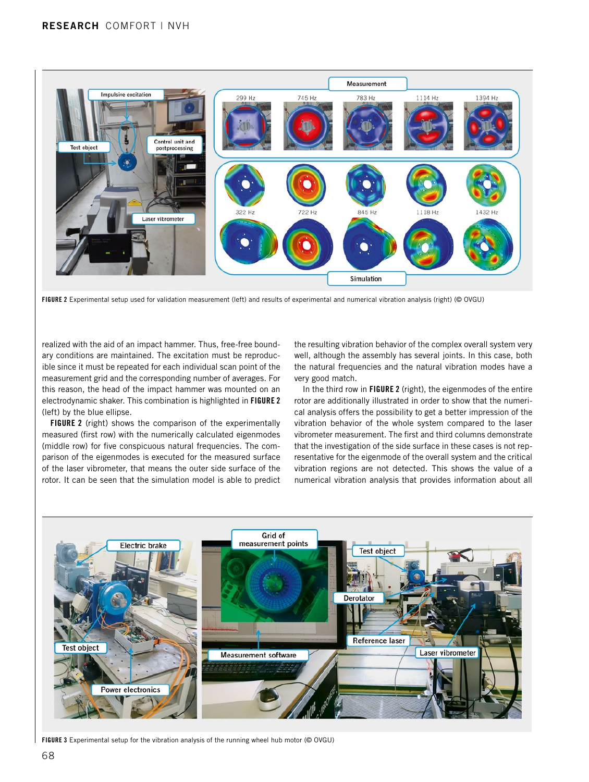

FIGURE 2 Experimental setup used for validation measurement (left) and results of experimental and numerical vibration analysis (right) (© OVGU)

realized with the aid of an impact hammer. Thus, free-free boundary conditions are maintained. The excitation must be reproducible since it must be repeated for each individual scan point of the measurement grid and the corresponding number of averages. For this reason, the head of the impact hammer was mounted on an electrodynamic shaker. This combination is highlighted in FIGURE 2 (left) by the blue ellipse.

FIGURE 2 (right) shows the comparison of the experimentally measured (first row) with the numerically calculated eigenmodes (middle row) for five conspicuous natural frequencies. The comparison of the eigenmodes is executed for the measured surface of the laser vibrometer, that means the outer side surface of the rotor. It can be seen that the simulation model is able to predict the resulting vibration behavior of the complex overall system very well, although the assembly has several joints. In this case, both the natural frequencies and the natural vibration modes have a very good match.

In the third row in FIGURE 2 (right), the eigenmodes of the entire rotor are additionally illustrated in order to show that the numerical analysis offers the possibility to get a better impression of the vibration behavior of the whole system compared to the laser vibrometer measurement. The first and third columns demonstrate that the investigation of the side surface in these cases is not representative for the eigenmode of the overall system and the critical vibration regions are not detected. This shows the value of a numerical vibration analysis that provides information about all



FIGURE 3 Experimental setup for the vibration analysis of the running wheel hub motor (© OVGU)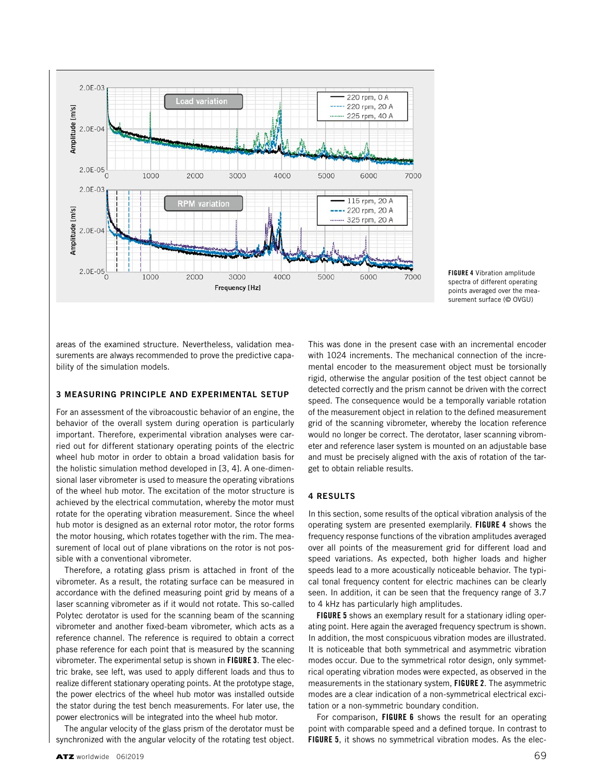

FIGURE 4 Vibration amplitude spectra of different operating points averaged over the measurement surface (© OVGU)

areas of the examined structure. Nevertheless, validation measurements are always recommended to prove the predictive capability of the simulation models.

#### 3 MEASURING PRINCIPLE AND EXPERIMENTAL SETUP

For an assessment of the vibroacoustic behavior of an engine, the behavior of the overall system during operation is particularly important. Therefore, experimental vibration analyses were carried out for different stationary operating points of the electric wheel hub motor in order to obtain a broad validation basis for the holistic simulation method developed in [3, 4]. A one-dimensional laser vibrometer is used to measure the operating vibrations of the wheel hub motor. The excitation of the motor structure is achieved by the electrical commutation, whereby the motor must rotate for the operating vibration measurement. Since the wheel hub motor is designed as an external rotor motor, the rotor forms the motor housing, which rotates together with the rim. The measurement of local out of plane vibrations on the rotor is not possible with a conventional vibrometer.

Therefore, a rotating glass prism is attached in front of the vibrometer. As a result, the rotating surface can be measured in accordance with the defined measuring point grid by means of a laser scanning vibrometer as if it would not rotate. This so-called Polytec derotator is used for the scanning beam of the scanning vibrometer and another fixed-beam vibrometer, which acts as a reference channel. The reference is required to obtain a correct phase reference for each point that is measured by the scanning vibrometer. The experimental setup is shown in FIGURE 3. The electric brake, see left, was used to apply different loads and thus to realize different stationary operating points. At the prototype stage, the power electrics of the wheel hub motor was installed outside the stator during the test bench measurements. For later use, the power electronics will be integrated into the wheel hub motor.

The angular velocity of the glass prism of the derotator must be synchronized with the angular velocity of the rotating test object.

 $\overline{\text{ATZ}}$  worldwide 06|2019 69

This was done in the present case with an incremental encoder with 1024 increments. The mechanical connection of the incremental encoder to the measurement object must be torsionally rigid, otherwise the angular position of the test object cannot be detected correctly and the prism cannot be driven with the correct speed. The consequence would be a temporally variable rotation of the measurement object in relation to the defned measurement grid of the scanning vibrometer, whereby the location reference would no longer be correct. The derotator, laser scanning vibrometer and reference laser system is mounted on an adjustable base and must be precisely aligned with the axis of rotation of the target to obtain reliable results.

#### 4 RESULTS

In this section, some results of the optical vibration analysis of the operating system are presented exemplarily. FIGURE 4 shows the frequency response functions of the vibration amplitudes averaged over all points of the measurement grid for different load and speed variations. As expected, both higher loads and higher speeds lead to a more acoustically noticeable behavior. The typical tonal frequency content for electric machines can be clearly seen. In addition, it can be seen that the frequency range of 3.7 to 4 kHz has particularly high amplitudes.

FIGURE 5 shows an exemplary result for a stationary idling operating point. Here again the averaged frequency spectrum is shown. In addition, the most conspicuous vibration modes are illustrated. It is noticeable that both symmetrical and asymmetric vibration modes occur. Due to the symmetrical rotor design, only symmetrical operating vibration modes were expected, as observed in the measurements in the stationary system, FIGURE 2. The asymmetric modes are a clear indication of a non-symmetrical electrical excitation or a non-symmetric boundary condition.

For comparison, FIGURE 6 shows the result for an operating point with comparable speed and a defined torque. In contrast to FIGURE 5, it shows no symmetrical vibration modes. As the elec-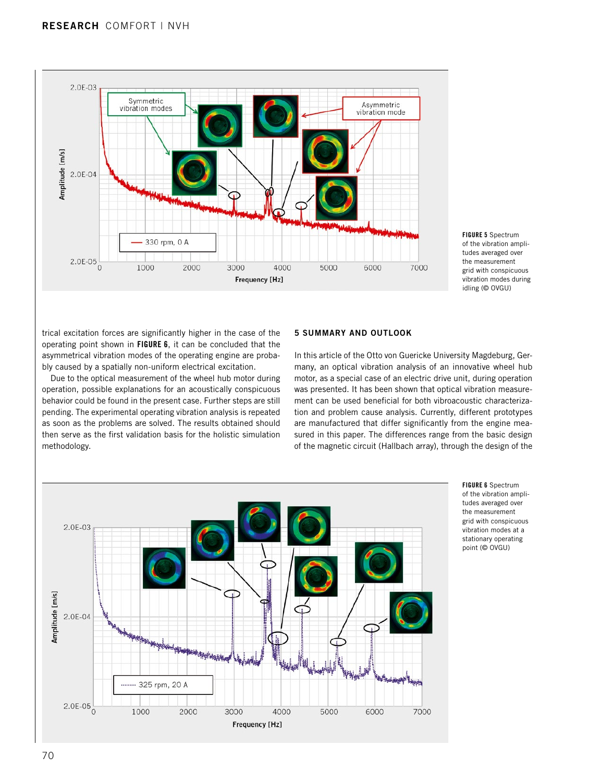

FIGURE 5 Spectrum of the vibration amplitudes averaged over the measurement grid with conspicuous vibration modes during idling (© OVGU)

trical excitation forces are signifcantly higher in the case of the operating point shown in FIGURE 6, it can be concluded that the asymmetrical vibration modes of the operating engine are probably caused by a spatially non-uniform electrical excitation.

Due to the optical measurement of the wheel hub motor during operation, possible explanations for an acoustically conspicuous behavior could be found in the present case. Further steps are still pending. The experimental operating vibration analysis is repeated as soon as the problems are solved. The results obtained should then serve as the first validation basis for the holistic simulation methodology.

#### 5 SUMMARY AND OUTLOOK

In this article of the Otto von Guericke University Magdeburg, Germany, an optical vibration analysis of an innovative wheel hub motor, as a special case of an electric drive unit, during operation was presented. It has been shown that optical vibration measurement can be used beneficial for both vibroacoustic characterization and problem cause analysis. Currently, different prototypes are manufactured that differ significantly from the engine measured in this paper. The differences range from the basic design of the magnetic circuit (Hallbach array), through the design of the



FIGURE 6 Spectrum of the vibration amplitudes averaged over the measurement grid with conspicuous vibration modes at a stationary operating point (© OVGU)